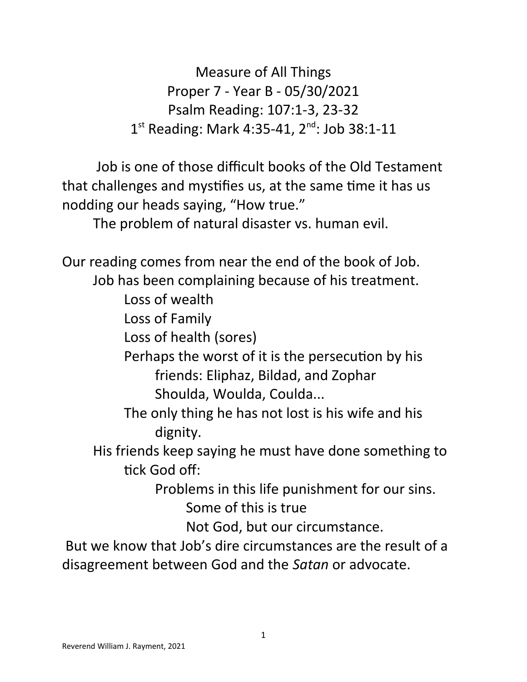Measure of All Things Proper 7 - Year B - 05/30/2021 Psalm Reading: 107:1-3, 23-32 1<sup>st</sup> Reading: Mark 4:35-41, 2<sup>nd</sup>: Job 38:1-11

 Job is one of those difficult books of the Old Testament that challenges and mystifies us, at the same time it has us nodding our heads saying, "How true."

The problem of natural disaster vs. human evil.

Our reading comes from near the end of the book of Job.

Job has been complaining because of his treatment.

Loss of wealth

Loss of Family

Loss of health (sores)

Perhaps the worst of it is the persecution by his friends: Eliphaz, Bildad, and Zophar Shoulda, Woulda, Coulda...

The only thing he has not lost is his wife and his dignity.

His friends keep saying he must have done something to tick God off:

> Problems in this life punishment for our sins. Some of this is true

> > Not God, but our circumstance.

 But we know that Job's dire circumstances are the result of a disagreement between God and the *Satan* or advocate.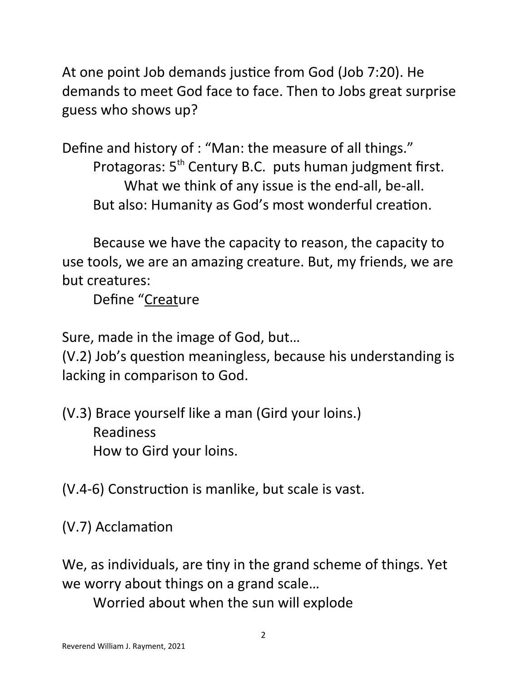At one point Job demands justice from God (Job 7:20). He demands to meet God face to face. Then to Jobs great surprise guess who shows up?

Define and history of : "Man: the measure of all things." Protagoras: 5<sup>th</sup> Century B.C. puts human judgment first. What we think of any issue is the end-all, be-all. But also: Humanity as God's most wonderful creation.

Because we have the capacity to reason, the capacity to use tools, we are an amazing creature. But, my friends, we are but creatures:

Define "Creature

Sure, made in the image of God, but…

(V.2) Job's question meaningless, because his understanding is lacking in comparison to God.

(V.3) Brace yourself like a man (Gird your loins.) Readiness How to Gird your loins.

(V.4-6) Construction is manlike, but scale is vast.

(V.7) Acclamation

We, as individuals, are tiny in the grand scheme of things. Yet we worry about things on a grand scale…

Worried about when the sun will explode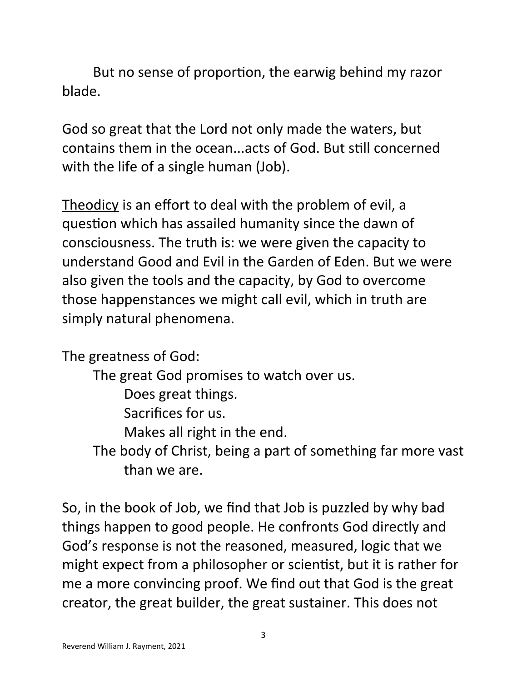But no sense of proportion, the earwig behind my razor blade.

God so great that the Lord not only made the waters, but contains them in the ocean...acts of God. But still concerned with the life of a single human (Job).

Theodicy is an effort to deal with the problem of evil, a question which has assailed humanity since the dawn of consciousness. The truth is: we were given the capacity to understand Good and Evil in the Garden of Eden. But we were also given the tools and the capacity, by God to overcome those happenstances we might call evil, which in truth are simply natural phenomena.

The greatness of God:

The great God promises to watch over us. Does great things. Sacrifices for us. Makes all right in the end. The body of Christ, being a part of something far more vast than we are.

So, in the book of Job, we find that Job is puzzled by why bad things happen to good people. He confronts God directly and God's response is not the reasoned, measured, logic that we might expect from a philosopher or scientist, but it is rather for me a more convincing proof. We find out that God is the great creator, the great builder, the great sustainer. This does not